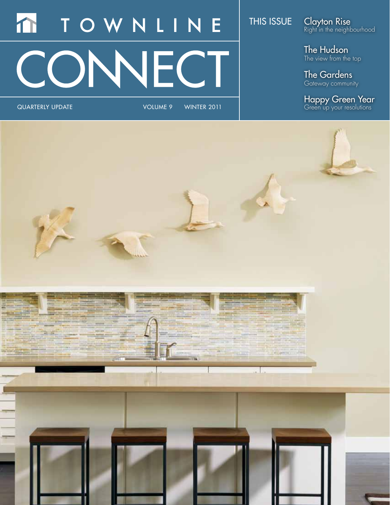# TOWNLINE m **DNNECT**

quarterly update Volume 9 WINTER 2011

## THIS ISSUE

Clayton Rise Right in the neighbourhood

The Hudson The view from the top

The Gardens Gateway community

Happy Green Year Green up your resolutions

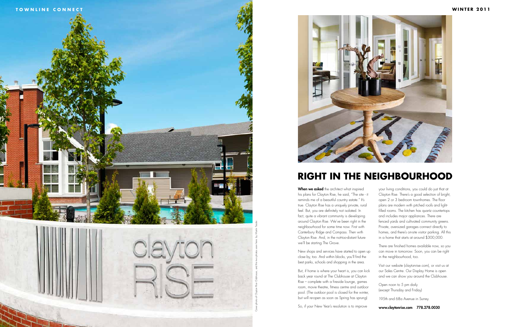When we asked the architect what inspired his plans for Clayton Rise, he said, "The site - it reminds me of a beautiful country estate." It's true. Clayton Rise has a uniquely private, rural feel. But, you are definitely not isolated. In fact, quite a vibrant community is developing around Clayton Rise. We've been right in the neighbourhood for some time now. First with Canterbury Ridge and Compass. Then with Clayton Rise. And, in the not-too-distant future we'll be starting The Grove.

New shops and services have started to open up close by, too. And within blocks, you'll find the best parks, schools and shopping in the area.

But, if home is where your heart is, you can kick back year round at The Clubhouse at Clayton Rise – complete with a fireside lounge, games room, movie theatre, fitness centre and outdoor pool. (The outdoor pool is closed for the winter, but will re-open as soon as Spring has sprung)





So, if your New Year's resolution is to improve

your living conditions, you could do just that at Clayton Rise. There's a good selection of bright, open 2 or 3 bedroom townhomes. The floor plans are modern with pitched roofs and lightfilled rooms. The kitchen has quartz countertops and includes major appliances. There are fenced yards and cultivated community greens. Private, oversized garages connect directly to homes, and there's on-site visitor parking. All this in a home that starts at around \$300,000.

There are finished homes available now, so you can move in tomorrow. Soon, you can be right in the neighbourhood, too.

Visit our website (claytonrise.com), or visit us at our Sales Centre. Our Display Home is open and we can show you around the Clubhouse.

Open noon to 5 pm daily (except Thursday and Friday)

195th and 68a Avenue in Surrey.

### www.claytonrise.com 778.278.0030

## **RIGHT IN THE NEIGHBOURHOOD**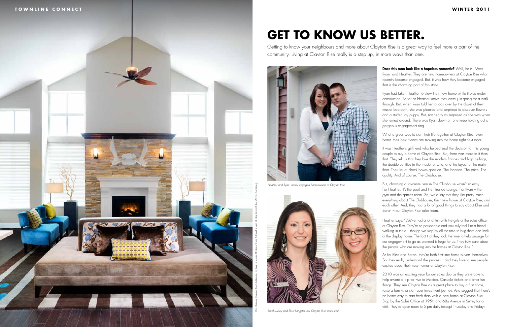

# **GET TO KNOW US BETTER.**

Getting to know your neighbours and more about Clayton Rise is a great way to feel more a part of the community. Living at Clayton Rise really is a step up, in more ways than one.

> Does this man look like a hopeless romantic? Well, he is. Meet Ryan and Heather. They are new homeowners at Clayton Rise who recently became engaged. But, it was how they became engaged that is the charming part of this story.

Ryan had taken Heather to view their new home while it was under construction. As far as Heather knew, they were just going for a walkthrough. But, when Ryan told her to look over by the closet of their master bedroom, she was pleased and surprised to discover flowers and a stuffed toy puppy. But, not nearly as surprised as she was when she turned around. There was Ryan down on one knee holding out a gorgeous engagement ring.

What a great way to start their life together at Clayton Rise. Even better, their best friends are moving into the home right next door.

It was Heather's girlfriend who helped seal the decision for this young couple to buy a home at Clayton Rise. But, there was more to it than that. They tell us that they love the modern finishes and high ceilings, the double vanities in the master ensuite, and the layout of the main floor. Their list of check boxes goes on. The location. The price. The quality. And of course, The Clubhouse.

But, choosing a favourite item in The Clubhouse wasn't so easy. For Heather, it's the pool and the Fireside Lounge. For Ryan – the gym and the games room. So, we'd say that they like pretty much everything about The Clubhouse, their new home at Clayton Rise, and each other. And, they had a lot of good things to say about Elise and Sarah – our Clayton Rise sales team.

Heather says, "We've had a lot of fun with the girls at the sales office at Clayton Rise. They're so personable and you truly feel like a friend walking in there – though we stop by all the time to bug them and look at the display home. The fact that they took the time to help arrange for our engagement to go as planned is huge for us. They truly care about the people who are moving into the homes at Clayton Rise."

As for Elise and Sarah, they're both first-time home buyers themselves. So, they really understand the process – and they love to see people excited about their new homes at Clayton Rise.

2010 was an exciting year for our sales duo as they were able to help award a trip for two to Mexico, Canucks tickets and other fun things. They see Clayton Rise as a great place to buy a first home, raise a family, or start your investment journey. And suggest that there's no better way to start fresh than with a new home at Clayton Rise. Stop by the Sales Office at 195th and 68a Avenue in Surrey for a visit. They're open noon to 5 pm daily (except Thursday and Friday).

*Sarah Livsey and Elise Sangster, our Clayton Rise sales team*



*Heather and Ryan, newly engaged homeowners at Clayton Rise*



This photo of Clayton Rise Clubhouse by Martin Tessler. Photos of Ryan & Heather and of Elise & Sarah by Marcos Armstrong.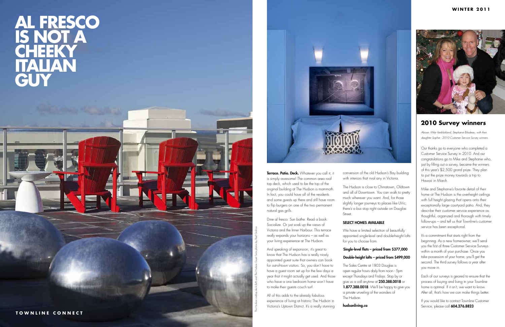Terrace. Patio. Deck. Whatever you call it, it is simply awesome! The common area roof top deck, which used to be the top of the original building at The Hudson is mammoth. In fact, you could have all of the residents and some guests up there and still have room to flip burgers on one of the two permanent natural gas grills.

Dine al fresco. Sun bathe. Read a book. Socialize. Or just soak up the views of Victoria and the Inner Harbour. This terrace really expands your horizons – as well as your living experience at The Hudson.

And speaking of expansion, it's great to know that The Hudson has a really nicely appointed guest suite that owners can book for out-of-town visitors. So, you don't have to have a guest room set up for the few days a year that it might actually get used. And those who have a one bedroom home won't have to make their guests couch surf.

All of this adds to the already fabulous experience of living at historic The Hudson in Victoria's Uptown District. It's a really stunning conversion of the old Hudson's Bay building with interiors that rival any in Victoria.

The Hudson is close to Chinatown, Oldtown and all of Downtown. You can walk to pretty much wherever you want. And, for those slightly longer journeys to places like UVic, there's a bus stop right outside on Douglas Street.

## SELECT HOMES AVAILABLE

We have a limited selection of beautifully appointed single-level and double-height lofts for you to choose from.

## Single-level flats – priced from \$377,000 Double-height lofts – priced from \$499,000

Each of our surveys is geared to ensure that the process of buying and living in your Townline home is optimal. If it isn't, we want to know. After all, that's how we can make things better.

The Sales Centre at 1803 Douglas is open regular hours daily from noon - 5pm except Thursdays and Fridays. Stop by or give us a call anytime at 250.388.0018 or 1.877.388.0018. We'll be happy to give you a private unveiling of the wonders of The Hudson.

hudsonliving.ca

# **is not a cheeky italian guy**



just by filling out a survey, became the winners of this year's \$2,500 grand prize. They plan to put the prize money towards a trip to Hawaii in March.

Mike and Stephanie's favorite detail of their home at The Hudson is the overheight ceilings with full height glazing that opens onto their exceptionally large courtyard patio. And, they describe their customer service experience as thoughtful, organized and thorough with timely follow-ups – and tell us that Townline's customer service has been exceptional.



It's a commitment that starts right from the beginning. As a new homeowner, we'll send you the first of three Customer Service Surveys within a month of your purchase. Once you take possession of your home, you'll get the second. The third survey follows a year after you move in.

If you would like to contact Townline Customer Service, please call 604.276.8823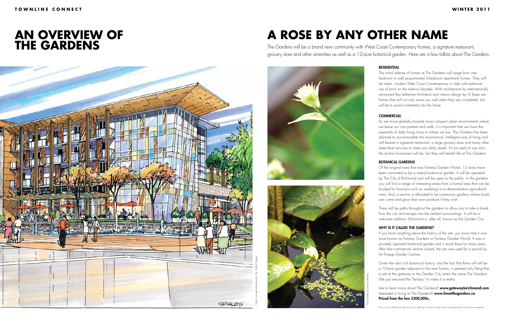# **An overview of THE GARDENS**

**A ROSE BY ANY OTHER NAME**

The Gardens will be a brand new community with West Coast Contemporary homes, a signature restaurant, grocery store and other amenities as well as a 12-acre botanical garden. Here are a few tidbits about The Gardens.





### RESIDENTIAL

The initial release of homes at The Gardens will range from onebedroom to well proportioned 2-bedroom apartment homes. They will be clean, modern West Coast Contemporary in style with extensive use of brick on the exterior façades. With architecture by internationally renowned Ray Letkeman Architects and interior design by I3 these are homes that will not only serve you well when they are completed, but will be a sound investment into the future.

#### **COMMERCIAL**

As we move globally towards more compact urban environments where we leave our cars parked and walk, it is important that we have the essentials of daily living close to where we live. The Gardens has been planned to accommodate this economical, intelligent way of living and will feature a signature restaurant, a large grocery store and many other street level services to meet your daily needs. It's too early to say who the anchor businesses will be, but they will benefit life at The Gardens.

#### BOTANICAL GARDENS

Like to learn more about The Gardens? www.gatewaytorichmond.com Interested in living at The Gardens? www.liveatthegardens.ca Priced from the low \$200,000s.

Of the original area that was Fantasy Garden World, 12 acres have been committed to be a natural botanical garden. It will be operated by The City of Richmond and will be open to the public. In the gardens you will find a range of interesting areas from a formal area that can be booked for functions such as weddings to a demonstration agricultural area. And, a section is allocated to be community gardens where locals can come and grow their own produce if they wish.

There will be paths throughout the gardens to allow you to take a break from the city and escape into the verdant surroundings. It will be a welcome addition. Richmond is, after all, known as the Garden City.

### WHY IS IT CALLED THE GARDENS?

If you know anything about the history of the site, you know that it was once known as Fantasy Gardens or Fantasy Garden World. It was a privately operated botanical garden and it stood there for many years. After that commercial venture closed, the site was used for a period by Art Knapp Garden Centres.

Given the site's rich botanical history, and the fact that there will still be a 12-acre garden adjacent to the new homes, it seemed only fitting that a site at the gateway to the Garden City retain the name The Gardens. We just removed the "fantasy" to make it a reality.

This is not an offering for sale as such an offering can only be made when accompanied by a disclosure statement.



Flora photos by Jessica Bushey.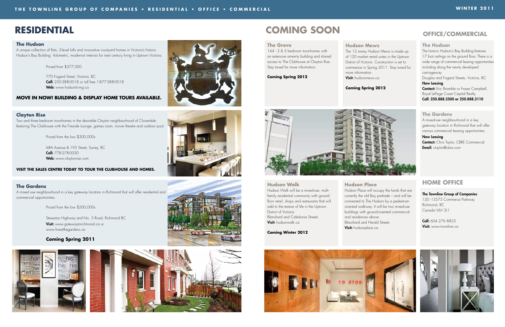Hudson Walk will be a mixed-use, multifamily residential community with ground floor retail, shops and restaurants that will add to the texture of life in the Uptown District of Victoria. Blanshard and Caledonia Streets Visit: hudsonwalk.ca

# **RESIDENTIAL COMING SOON OFFICE/COMMERCIAL**

### **Hudson Walk**

**Hudson Place** Hudson Place will occupy the lands that are currently the old Bay parkade – and will be connected to The Hudson by a pedestrian oriented walkway. It will be two mixed-use buildings with ground-oriented commercial and residences above. Blanshard and Herald Streets Visit: hudsonplace.ca

**Coming Winter 2012**



68A Avenue & 195 Street, Surrey, BC Call: 778-278-0030 Web: www.claytonrise.com

### **The Gardens**

A mixed use neighbourhood in a key gateway location in Richmond that will offer residential and commercial opportunities.

 770 Fisgard Street, Victoria, BC Call: 250-388-0018 or toll free 1-877-388-0018 Web: www.hudsonliving.ca

Priced from the low \$200,000s

 Steveston Highway and No. 5 Road, Richmond BC **Visit:** www.gatewaytorichmond.ca or www.liveatthegardens.ca

## **Coming Spring 2011**





### **Clayton Rise**

more information. Visit: hudsonmews.ca

Two and three bedroom townhomes in the desirable Clayton neighbourhood of Cloverdale featuring The Clubhouse with the Fireside Lounge, games room, movie theatre and outdoor pool.

Priced from the low \$300,000s

**Contact:** Eric Bramble or Fraser Campbell, Royal LePage Coast Capital Realty Call: 250.888.3500 or 250.888.3110

#### **VISIT THE SALES CENTRE TODAY TO TOUR THE CLUBHOUSE AND HOMES.**

### **The Hudson**

A unique collection of flats, 2-level lofts and innovative courtyard homes in Victoria's historic Hudson's Bay Building. Volumetric, modernist interiors for next century living in Uptown Victoria.

Priced from \$377,000

### **MOVE IN NOW! Building & Display Home Tours Available.**



#### **The Grove**

144 - 2 & 3 bedroom townhomes with an extensive amenity building and shared access to The Clubhouse at Clayton Rise. Stay tuned for more information.

**Coming Spring 2012**

**Hudson Mews**

The 12 storey Hudson Mews is made up of 120 market rental suites in the Uptown District of Victoria. Construction is set to commence in Spring 2011. Stay tuned for

**Coming Spring 2012**



### **The Hudson**

The historic Hudson's Bay Building features 17 foot ceilings on the ground floor. There is a wide range of commercial leasing opportunities including along the newly developed carriageway.

Douglas and Fisgard Streets, Victoria, BC Now Leasing

### **The Gardens**

A mixed-use neighbourhood in a key gateway location in Richmond that will offer various commercial leasing opportunities.

#### Now Leasing

Contact: Chris Taylor, CBRE Commercial Email: ctaylor@cbre.com

## **HOME Office**

### The Townline Group of Companies 120 -13575 Commerce Parkway Richmond, BC Canada V6V 2L1

Call: 604 276 8823 Visit: www.townline.ca